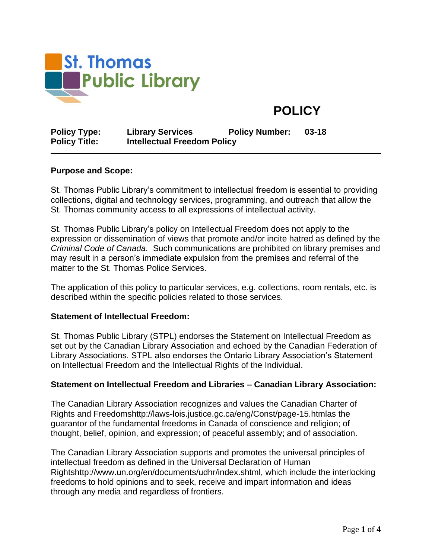

# **POLICY**

| <b>Policy Type:</b>  | <b>Library Services</b>            | <b>Policy Number:</b> | $03 - 18$ |
|----------------------|------------------------------------|-----------------------|-----------|
| <b>Policy Title:</b> | <b>Intellectual Freedom Policy</b> |                       |           |

#### **Purpose and Scope:**

St. Thomas Public Library's commitment to intellectual freedom is essential to providing collections, digital and technology services, programming, and outreach that allow the St. Thomas community access to all expressions of intellectual activity.

St. Thomas Public Library's policy on Intellectual Freedom does not apply to the expression or dissemination of views that promote and/or incite hatred as defined by the *Criminal Code of Canada.* Such communications are prohibited on library premises and may result in a person's immediate expulsion from the premises and referral of the matter to the St. Thomas Police Services.

The application of this policy to particular services, e.g. collections, room rentals, etc. is described within the specific policies related to those services.

#### **Statement of Intellectual Freedom:**

St. Thomas Public Library (STPL) endorses the Statement on Intellectual Freedom as set out by the Canadian Library Association and echoed by the Canadian Federation of Library Associations. STPL also endorses the Ontario Library Association's Statement on Intellectual Freedom and the Intellectual Rights of the Individual.

#### **Statement on Intellectual Freedom and Libraries – Canadian Library Association:**

The Canadian Library Association recognizes and values the Canadian Charter of Rights and Freedomshttp://laws-lois.justice.gc.ca/eng/Const/page-15.htmlas the guarantor of the fundamental freedoms in Canada of conscience and religion; of thought, belief, opinion, and expression; of peaceful assembly; and of association.

The Canadian Library Association supports and promotes the universal principles of intellectual freedom as defined in the Universal Declaration of Human Rightshttp://www.un.org/en/documents/udhr/index.shtml, which include the interlocking freedoms to hold opinions and to seek, receive and impart information and ideas through any media and regardless of frontiers.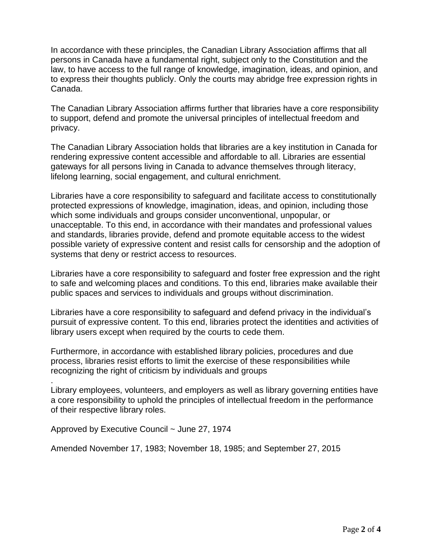In accordance with these principles, the Canadian Library Association affirms that all persons in Canada have a fundamental right, subject only to the Constitution and the law, to have access to the full range of knowledge, imagination, ideas, and opinion, and to express their thoughts publicly. Only the courts may abridge free expression rights in Canada.

The Canadian Library Association affirms further that libraries have a core responsibility to support, defend and promote the universal principles of intellectual freedom and privacy.

The Canadian Library Association holds that libraries are a key institution in Canada for rendering expressive content accessible and affordable to all. Libraries are essential gateways for all persons living in Canada to advance themselves through literacy, lifelong learning, social engagement, and cultural enrichment.

Libraries have a core responsibility to safeguard and facilitate access to constitutionally protected expressions of knowledge, imagination, ideas, and opinion, including those which some individuals and groups consider unconventional, unpopular, or unacceptable. To this end, in accordance with their mandates and professional values and standards, libraries provide, defend and promote equitable access to the widest possible variety of expressive content and resist calls for censorship and the adoption of systems that deny or restrict access to resources.

Libraries have a core responsibility to safeguard and foster free expression and the right to safe and welcoming places and conditions. To this end, libraries make available their public spaces and services to individuals and groups without discrimination.

Libraries have a core responsibility to safeguard and defend privacy in the individual's pursuit of expressive content. To this end, libraries protect the identities and activities of library users except when required by the courts to cede them.

Furthermore, in accordance with established library policies, procedures and due process, libraries resist efforts to limit the exercise of these responsibilities while recognizing the right of criticism by individuals and groups

Library employees, volunteers, and employers as well as library governing entities have a core responsibility to uphold the principles of intellectual freedom in the performance of their respective library roles.

Approved by Executive Council ~ June 27, 1974

.

Amended November 17, 1983; November 18, 1985; and September 27, 2015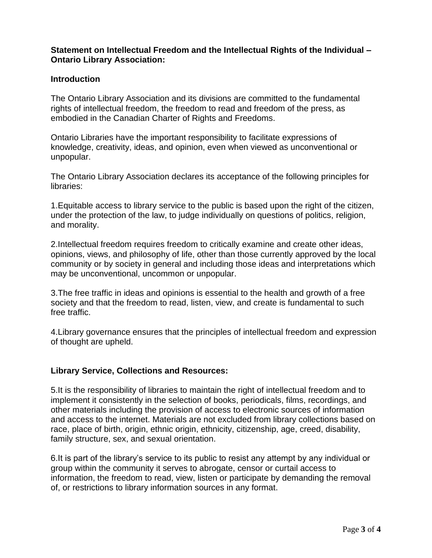## **Statement on Intellectual Freedom and the Intellectual Rights of the Individual – Ontario Library Association:**

## **Introduction**

The Ontario Library Association and its divisions are committed to the fundamental rights of intellectual freedom, the freedom to read and freedom of the press, as embodied in the Canadian Charter of Rights and Freedoms.

Ontario Libraries have the important responsibility to facilitate expressions of knowledge, creativity, ideas, and opinion, even when viewed as unconventional or unpopular.

The Ontario Library Association declares its acceptance of the following principles for libraries:

1.Equitable access to library service to the public is based upon the right of the citizen, under the protection of the law, to judge individually on questions of politics, religion, and morality.

2.Intellectual freedom requires freedom to critically examine and create other ideas, opinions, views, and philosophy of life, other than those currently approved by the local community or by society in general and including those ideas and interpretations which may be unconventional, uncommon or unpopular.

3.The free traffic in ideas and opinions is essential to the health and growth of a free society and that the freedom to read, listen, view, and create is fundamental to such free traffic.

4.Library governance ensures that the principles of intellectual freedom and expression of thought are upheld.

## **Library Service, Collections and Resources:**

5.It is the responsibility of libraries to maintain the right of intellectual freedom and to implement it consistently in the selection of books, periodicals, films, recordings, and other materials including the provision of access to electronic sources of information and access to the internet. Materials are not excluded from library collections based on race, place of birth, origin, ethnic origin, ethnicity, citizenship, age, creed, disability, family structure, sex, and sexual orientation.

6.It is part of the library's service to its public to resist any attempt by any individual or group within the community it serves to abrogate, censor or curtail access to information, the freedom to read, view, listen or participate by demanding the removal of, or restrictions to library information sources in any format.